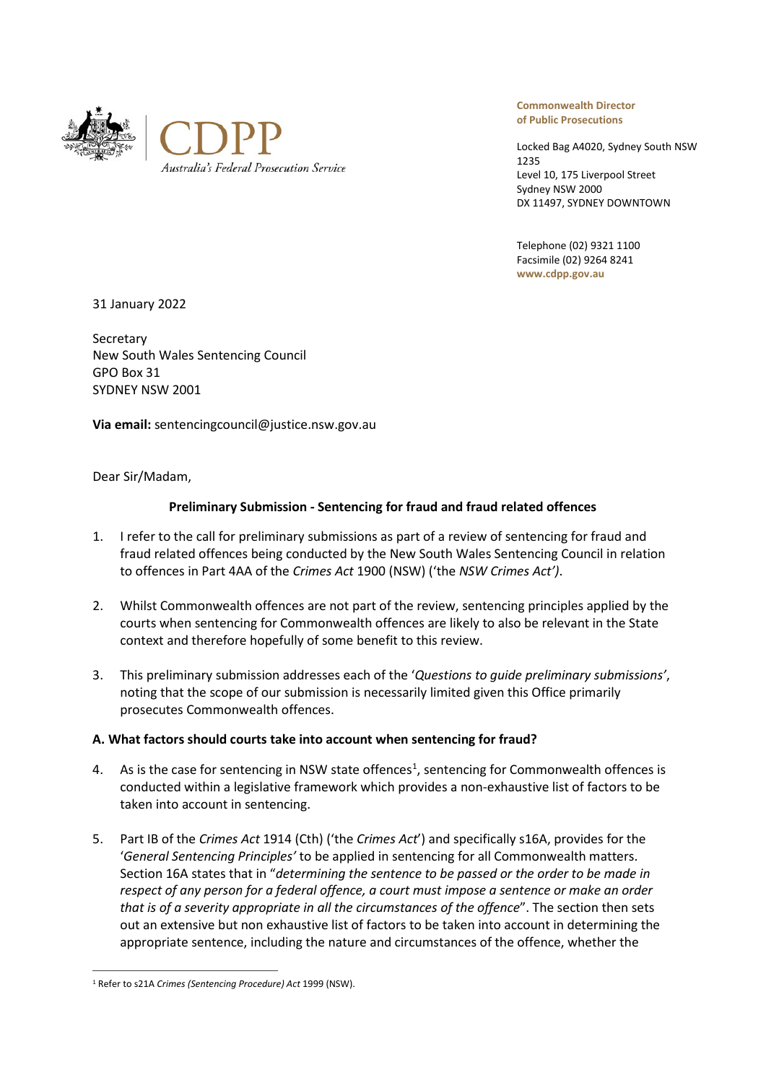



**Commonwealth Director of Public Prosecutions**

Locked Bag A4020, Sydney South NSW 1235 Level 10, 175 Liverpool Street Sydney NSW 2000 DX 11497, SYDNEY DOWNTOWN

Telephone (02) 9321 1100 Facsimile (02) 9264 8241 **www.cdpp.gov.au**

31 January 2022

Secretary New South Wales Sentencing Council GPO Box 31 SYDNEY NSW 2001

**Via email:** sentencingcouncil@justice.nsw.gov.au

Dear Sir/Madam,

# **Preliminary Submission - Sentencing for fraud and fraud related offences**

- 1. I refer to the call for preliminary submissions as part of a review of sentencing for fraud and fraud related offences being conducted by the New South Wales Sentencing Council in relation to offences in Part 4AA of the *Crimes Act* 1900 (NSW) ('the *NSW Crimes Act')*.
- 2. Whilst Commonwealth offences are not part of the review, sentencing principles applied by the courts when sentencing for Commonwealth offences are likely to also be relevant in the State context and therefore hopefully of some benefit to this review.
- 3. This preliminary submission addresses each of the '*Questions to guide preliminary submissions'*, noting that the scope of our submission is necessarily limited given this Office primarily prosecutes Commonwealth offences.

# **A. What factors should courts take into account when sentencing for fraud?**

- 4. As is the case for sentencing in NSW state offences<sup>1</sup>, sentencing for Commonwealth offences is conducted within a legislative framework which provides a non-exhaustive list of factors to be taken into account in sentencing.
- 5. Part IB of the *Crimes Act* 1914 (Cth) ('the *Crimes Act*') and specifically s16A, provides for the '*General Sentencing Principles'* to be applied in sentencing for all Commonwealth matters. Section 16A states that in "*determining the sentence to be passed or the order to be made in respect of any person for a federal offence, a court must impose a sentence or make an order that is of a severity appropriate in all the circumstances of the offence*". The section then sets out an extensive but non exhaustive list of factors to be taken into account in determining the appropriate sentence, including the nature and circumstances of the offence, whether the

<sup>1</sup> Refer to s21A *Crimes (Sentencing Procedure) Act* 1999 (NSW).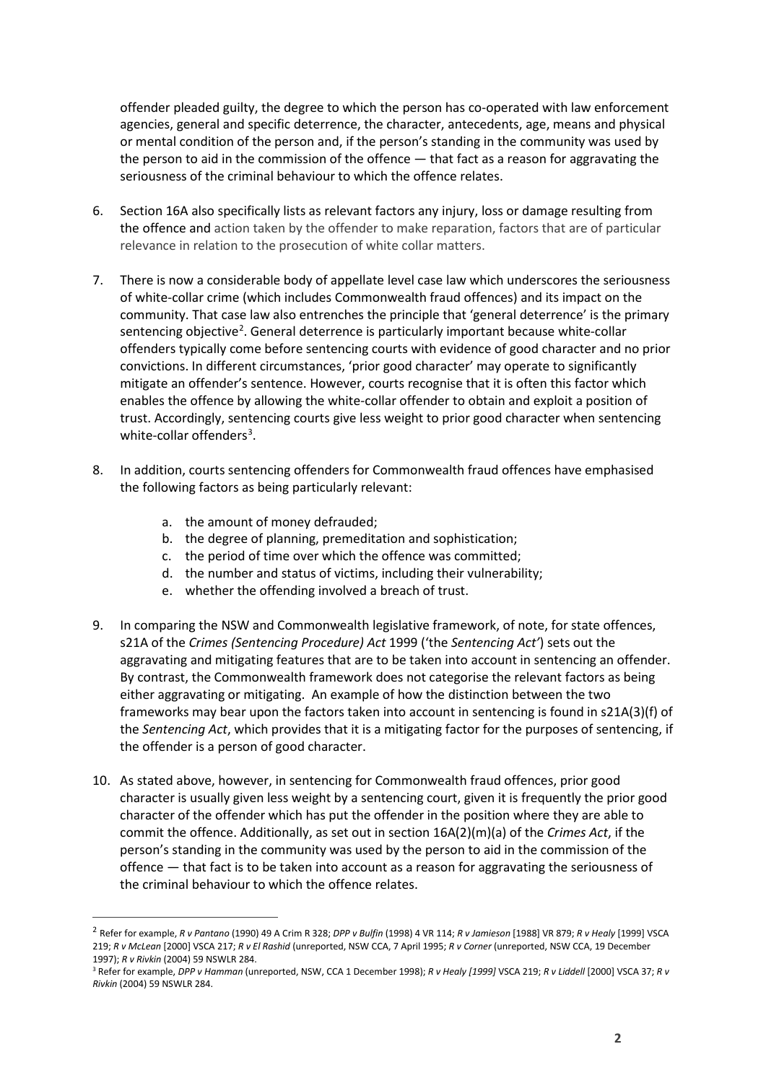offender pleaded guilty, the degree to which the person has co-operated with law enforcement agencies, general and specific deterrence, the character, antecedents, age, means and physical or mental condition of the person and, if the person's standing in the community was used by the person to aid in the commission of the offence — that fact as a reason for aggravating the seriousness of the criminal behaviour to which the offence relates.

- 6. Section 16A also specifically lists as relevant factors any injury, loss or damage resulting from the offence and action taken by the offender to make reparation, factors that are of particular relevance in relation to the prosecution of white collar matters.
- 7. There is now a considerable body of appellate level case law which underscores the seriousness of white-collar crime (which includes Commonwealth fraud offences) and its impact on the community. That case law also entrenches the principle that 'general deterrence' is the primary sentencing objective<sup>2</sup>. General deterrence is particularly important because white-collar offenders typically come before sentencing courts with evidence of good character and no prior convictions. In different circumstances, 'prior good character' may operate to significantly mitigate an offender's sentence. However, courts recognise that it is often this factor which enables the offence by allowing the white-collar offender to obtain and exploit a position of trust. Accordingly, sentencing courts give less weight to prior good character when sentencing white-collar offenders<sup>3</sup>.
- 8. In addition, courts sentencing offenders for Commonwealth fraud offences have emphasised the following factors as being particularly relevant:
	- a. the amount of money defrauded;
	- b. the degree of planning, premeditation and sophistication;
	- c. the period of time over which the offence was committed;
	- d. the number and status of victims, including their vulnerability;
	- e. whether the offending involved a breach of trust.
- 9. In comparing the NSW and Commonwealth legislative framework, of note, for state offences, s21A of the *Crimes (Sentencing Procedure) Act* 1999 ('the *Sentencing Act'*) sets out the aggravating and mitigating features that are to be taken into account in sentencing an offender. By contrast, the Commonwealth framework does not categorise the relevant factors as being either aggravating or mitigating. An example of how the distinction between the two frameworks may bear upon the factors taken into account in sentencing is found in s21A(3)(f) of the *Sentencing Act*, which provides that it is a mitigating factor for the purposes of sentencing, if the offender is a person of good character.
- 10. As stated above, however, in sentencing for Commonwealth fraud offences, prior good character is usually given less weight by a sentencing court, given it is frequently the prior good character of the offender which has put the offender in the position where they are able to commit the offence. Additionally, as set out in section 16A(2)(m)(a) of the *Crimes Act*, if the person's standing in the community was used by the person to aid in the commission of the offence — that fact is to be taken into account as a reason for aggravating the seriousness of the criminal behaviour to which the offence relates.

<sup>2</sup> Refer for example, *R v Pantano* (1990) 49 A Crim R 328; *DPP v Bulfin* (1998) 4 VR 114; *R v Jamieson* [1988] VR 879; *R v Healy* [1999] VSCA 219; *R v McLean* [2000] VSCA 217; *R v El Rashid* (unreported, NSW CCA, 7 April 1995; *R v Corner* (unreported, NSW CCA, 19 December 1997); *R v Rivkin* (2004) 59 NSWLR 284.

<sup>3</sup> Refer for example, *DPP v Hamman* (unreported, NSW, CCA 1 December 1998); *R v Healy [1999]* VSCA 219; *R v Liddell* [2000] VSCA 37; *R v Rivkin* (2004) 59 NSWLR 284.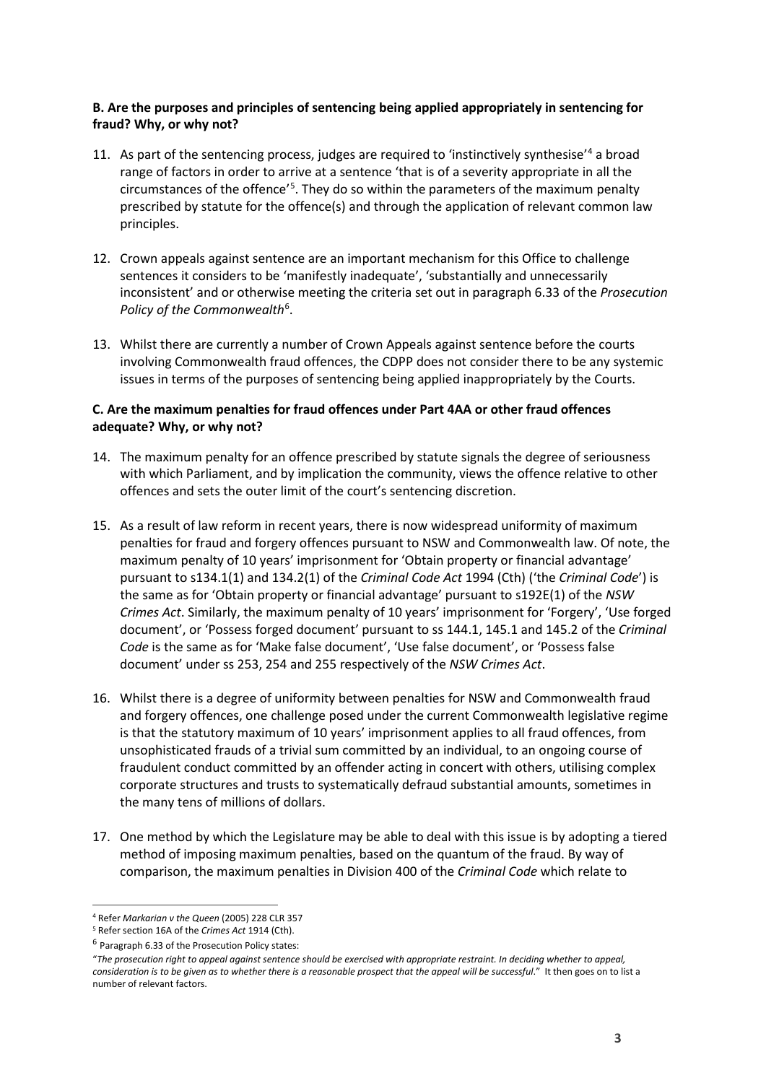# **B. Are the purposes and principles of sentencing being applied appropriately in sentencing for fraud? Why, or why not?**

- 11. As part of the sentencing process, judges are required to 'instinctively synthesise'4 a broad range of factors in order to arrive at a sentence 'that is of a severity appropriate in all the circumstances of the offence<sup>'5</sup>. They do so within the parameters of the maximum penalty prescribed by statute for the offence(s) and through the application of relevant common law principles.
- 12. Crown appeals against sentence are an important mechanism for this Office to challenge sentences it considers to be 'manifestly inadequate', 'substantially and unnecessarily inconsistent' and or otherwise meeting the criteria set out in paragraph 6.33 of the *Prosecution*  Policy of the Commonwealth<sup>6</sup>.
- 13. Whilst there are currently a number of Crown Appeals against sentence before the courts involving Commonwealth fraud offences, the CDPP does not consider there to be any systemic issues in terms of the purposes of sentencing being applied inappropriately by the Courts.

## **C. Are the maximum penalties for fraud offences under Part 4AA or other fraud offences adequate? Why, or why not?**

- 14. The maximum penalty for an offence prescribed by statute signals the degree of seriousness with which Parliament, and by implication the community, views the offence relative to other offences and sets the outer limit of the court's sentencing discretion.
- 15. As a result of law reform in recent years, there is now widespread uniformity of maximum penalties for fraud and forgery offences pursuant to NSW and Commonwealth law. Of note, the maximum penalty of 10 years' imprisonment for 'Obtain property or financial advantage' pursuant to s134.1(1) and 134.2(1) of the *Criminal Code Act* 1994 (Cth) ('the *Criminal Code*') is the same as for 'Obtain property or financial advantage' pursuant to s192E(1) of the *NSW Crimes Act*. Similarly, the maximum penalty of 10 years' imprisonment for 'Forgery', 'Use forged document', or 'Possess forged document' pursuant to ss 144.1, 145.1 and 145.2 of the *Criminal Code* is the same as for 'Make false document', 'Use false document', or 'Possess false document' under ss 253, 254 and 255 respectively of the *NSW Crimes Act*.
- 16. Whilst there is a degree of uniformity between penalties for NSW and Commonwealth fraud and forgery offences, one challenge posed under the current Commonwealth legislative regime is that the statutory maximum of 10 years' imprisonment applies to all fraud offences, from unsophisticated frauds of a trivial sum committed by an individual, to an ongoing course of fraudulent conduct committed by an offender acting in concert with others, utilising complex corporate structures and trusts to systematically defraud substantial amounts, sometimes in the many tens of millions of dollars.
- 17. One method by which the Legislature may be able to deal with this issue is by adopting a tiered method of imposing maximum penalties, based on the quantum of the fraud. By way of comparison, the maximum penalties in Division 400 of the *Criminal Code* which relate to

<sup>4</sup> Refer *Markarian v the Queen* (2005) 228 CLR 357

<sup>5</sup> Refer section 16A of the *Crimes Act* 1914 (Cth).

<sup>6</sup> Paragraph 6.33 of the Prosecution Policy states:

<sup>&</sup>quot;*The prosecution right to appeal against sentence should be exercised with appropriate restraint. In deciding whether to appeal, consideration is to be given as to whether there is a reasonable prospect that the appeal will be successful*." It then goes on to list a number of relevant factors.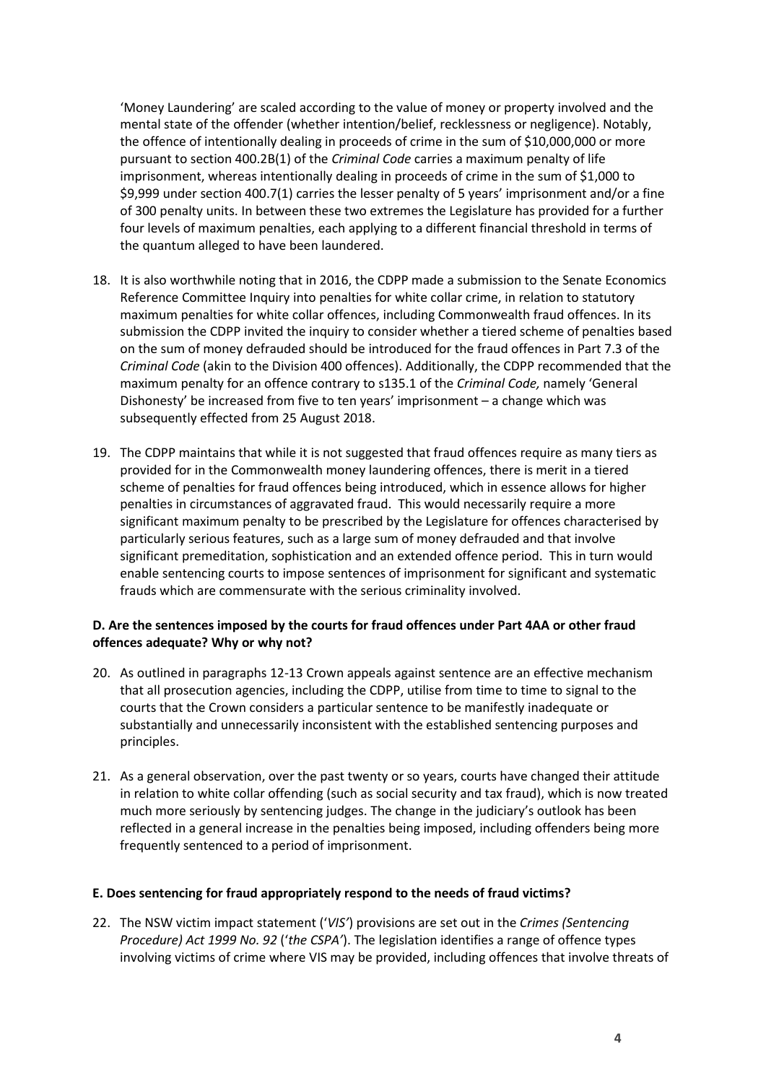'Money Laundering' are scaled according to the value of money or property involved and the mental state of the offender (whether intention/belief, recklessness or negligence). Notably, the offence of intentionally dealing in proceeds of crime in the sum of \$10,000,000 or more pursuant to section 400.2B(1) of the *Criminal Code* carries a maximum penalty of life imprisonment, whereas intentionally dealing in proceeds of crime in the sum of \$1,000 to \$9,999 under section 400.7(1) carries the lesser penalty of 5 years' imprisonment and/or a fine of 300 penalty units. In between these two extremes the Legislature has provided for a further four levels of maximum penalties, each applying to a different financial threshold in terms of the quantum alleged to have been laundered.

- 18. It is also worthwhile noting that in 2016, the CDPP made a submission to the Senate Economics Reference Committee Inquiry into penalties for white collar crime, in relation to statutory maximum penalties for white collar offences, including Commonwealth fraud offences. In its submission the CDPP invited the inquiry to consider whether a tiered scheme of penalties based on the sum of money defrauded should be introduced for the fraud offences in Part 7.3 of the *Criminal Code* (akin to the Division 400 offences). Additionally, the CDPP recommended that the maximum penalty for an offence contrary to s135.1 of the *Criminal Code,* namely 'General Dishonesty' be increased from five to ten years' imprisonment – a change which was subsequently effected from 25 August 2018.
- 19. The CDPP maintains that while it is not suggested that fraud offences require as many tiers as provided for in the Commonwealth money laundering offences, there is merit in a tiered scheme of penalties for fraud offences being introduced, which in essence allows for higher penalties in circumstances of aggravated fraud. This would necessarily require a more significant maximum penalty to be prescribed by the Legislature for offences characterised by particularly serious features, such as a large sum of money defrauded and that involve significant premeditation, sophistication and an extended offence period. This in turn would enable sentencing courts to impose sentences of imprisonment for significant and systematic frauds which are commensurate with the serious criminality involved.

# **D. Are the sentences imposed by the courts for fraud offences under Part 4AA or other fraud offences adequate? Why or why not?**

- 20. As outlined in paragraphs 12-13 Crown appeals against sentence are an effective mechanism that all prosecution agencies, including the CDPP, utilise from time to time to signal to the courts that the Crown considers a particular sentence to be manifestly inadequate or substantially and unnecessarily inconsistent with the established sentencing purposes and principles.
- 21. As a general observation, over the past twenty or so years, courts have changed their attitude in relation to white collar offending (such as social security and tax fraud), which is now treated much more seriously by sentencing judges. The change in the judiciary's outlook has been reflected in a general increase in the penalties being imposed, including offenders being more frequently sentenced to a period of imprisonment.

#### **E. Does sentencing for fraud appropriately respond to the needs of fraud victims?**

22. The NSW victim impact statement ('*VIS'*) provisions are set out in the *Crimes (Sentencing Procedure) Act 1999 No. 92* ('*the CSPA'*). The legislation identifies a range of offence types involving victims of crime where VIS may be provided, including offences that involve threats of